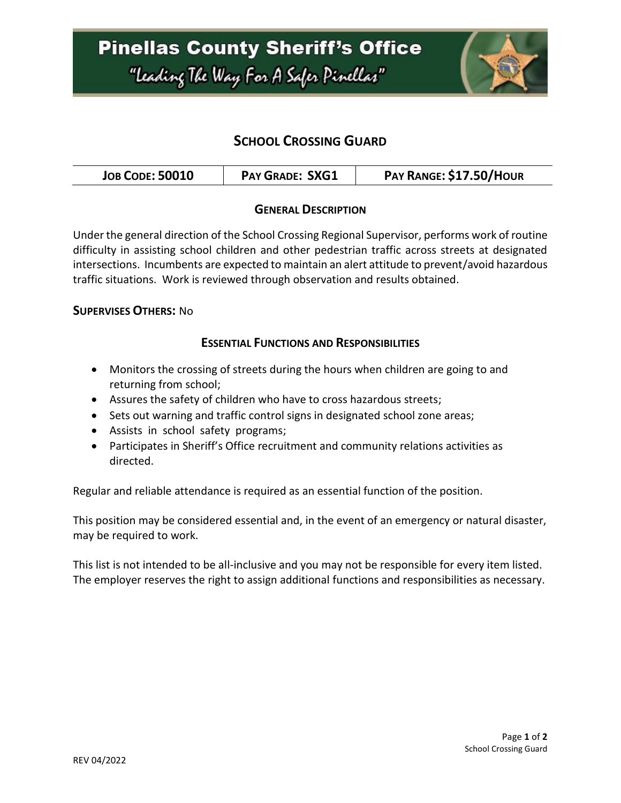## **Pinellas County Sheriff's Office** "Leading The Way For A Safer Pinellar"



### **SCHOOL CROSSING GUARD**

|  | <b>JOB CODE: 50010</b> | <b>PAY GRADE: SXG1</b> | PAY RANGE: \$17.50/HOUR |
|--|------------------------|------------------------|-------------------------|
|--|------------------------|------------------------|-------------------------|

#### **GENERAL DESCRIPTION**

Under the general direction of the School Crossing Regional Supervisor, performs work of routine difficulty in assisting school children and other pedestrian traffic across streets at designated intersections. Incumbents are expected to maintain an alert attitude to prevent/avoid hazardous traffic situations. Work is reviewed through observation and results obtained.

#### **SUPERVISES OTHERS:** No

#### **ESSENTIAL FUNCTIONS AND RESPONSIBILITIES**

- Monitors the crossing of streets during the hours when children are going to and returning from school;
- Assures the safety of children who have to cross hazardous streets;
- Sets out warning and traffic control signs in designated school zone areas;
- Assists in school safety programs;
- Participates in Sheriff's Office recruitment and community relations activities as directed.

Regular and reliable attendance is required as an essential function of the position.

This position may be considered essential and, in the event of an emergency or natural disaster, may be required to work.

This list is not intended to be all-inclusive and you may not be responsible for every item listed. The employer reserves the right to assign additional functions and responsibilities as necessary.